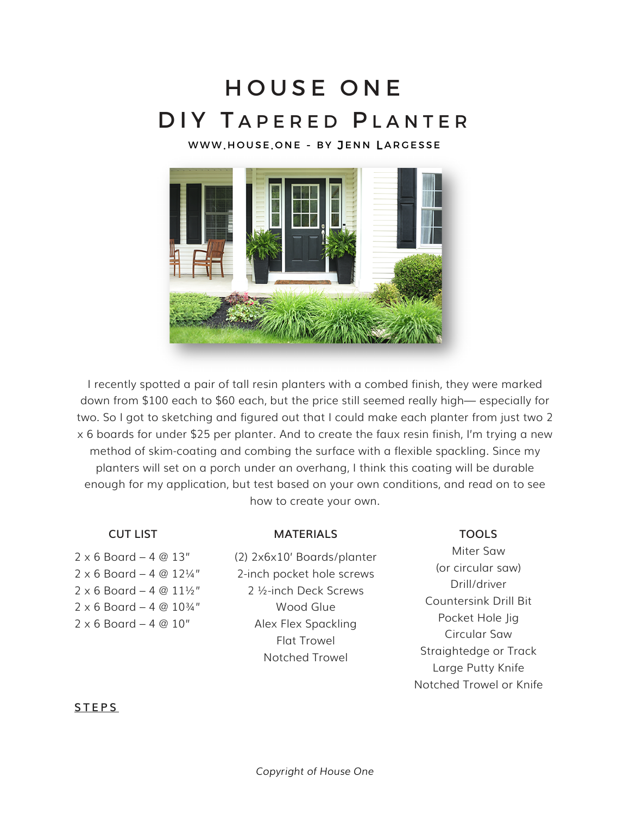# HOUSE ONE DIY TAPERED PLANTER

#### WWW HOUSE ONE - BY JENN LARGESSE



I recently spotted a pair of tall resin planters with a combed finish, they were marked down from \$100 each to \$60 each, but the price still seemed really high— especially for two. So I got to sketching and figured out that I could make each planter from just two 2 x 6 boards for under \$25 per planter. And to create the faux resin finish, I'm trying a new method of skim-coating and combing the surface with a flexible spackling. Since my planters will set on a porch under an overhang, I think this coating will be durable enough for my application, but test based on your own conditions, and read on to see how to create your own.

## **CUT LIST**

#### **MATERIALS**

#### **TOOLS**

 $2 \times 6$  Board – 4 @ 13"  $2 \times 6$  Board – 4 @ 12 $\frac{1}{4}$ "  $2 \times 6$  Board – 4 @  $11\frac{1}{2}$ "  $2 \times 6$  Board – 4 @  $10\frac{3}{4}$ "  $2 \times 6$  Board – 4 @ 10"

(2) 2x6x10' Boards/planter 2-inch pocket hole screws 2 ½-inch Deck Screws Wood Glue Alex Flex Spackling Flat Trowel Notched Trowel

Miter Saw (or circular saw) Drill/driver Countersink Drill Bit Pocket Hole Jig Circular Saw Straightedge or Track Large Putty Knife Notched Trowel or Knife

#### **STEPS**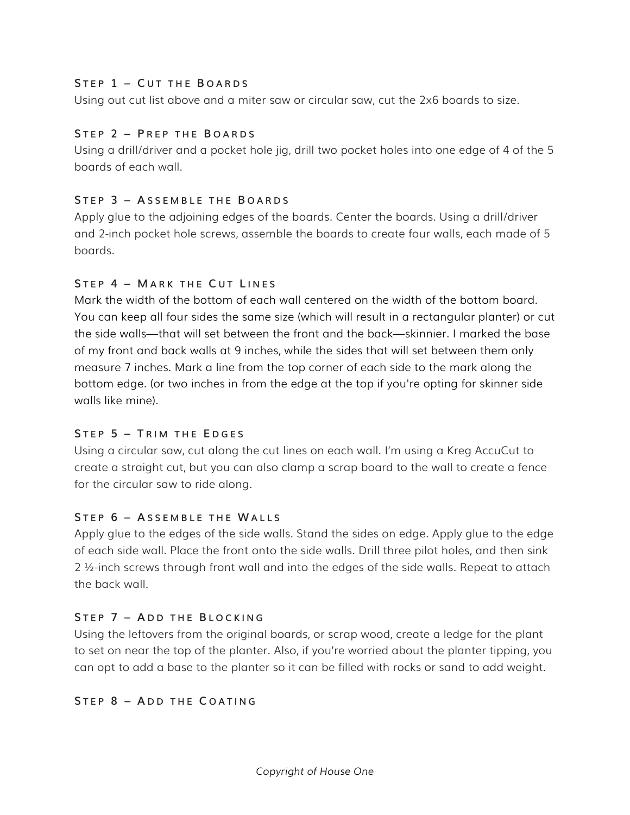## **S TEP 1 – C UT THE B OARDS**

Using out cut list above and a miter saw or circular saw, cut the 2x6 boards to size.

#### **S TEP 2 – P REP THE B OARDS**

Using a drill/driver and a pocket hole jig, drill two pocket holes into one edge of 4 of the 5 boards of each wall.

#### **S TEP 3 – A SSEMBLE THE B OARDS**

Apply glue to the adjoining edges of the boards. Center the boards. Using a drill/driver and 2-inch pocket hole screws, assemble the boards to create four walls, each made of 5 boards.

#### **S TEP 4 – M ARK THE C UT L INES**

Mark the width of the bottom of each wall centered on the width of the bottom board. You can keep all four sides the same size (which will result in a rectangular planter) or cut the side walls—that will set between the front and the back—skinnier. I marked the base of my front and back walls at 9 inches, while the sides that will set between them only measure 7 inches. Mark a line from the top corner of each side to the mark along the bottom edge. (or two inches in from the edge at the top if you're opting for skinner side walls like mine).

#### **S TEP 5 – T RIM THE E DGES**

Using a circular saw, cut along the cut lines on each wall. I'm using a Kreg AccuCut to create a straight cut, but you can also clamp a scrap board to the wall to create a fence for the circular saw to ride along.

#### **S TEP 6 – A SSEMBLE THE W ALLS**

Apply glue to the edges of the side walls. Stand the sides on edge. Apply glue to the edge of each side wall. Place the front onto the side walls. Drill three pilot holes, and then sink 2 ½-inch screws through front wall and into the edges of the side walls. Repeat to attach the back wall.

#### **S TEP 7 – A DD THE B LOCKING**

Using the leftovers from the original boards, or scrap wood, create a ledge for the plant to set on near the top of the planter. Also, if you're worried about the planter tipping, you can opt to add a base to the planter so it can be filled with rocks or sand to add weight.

## **S TEP 8 – A DD THE C OATING**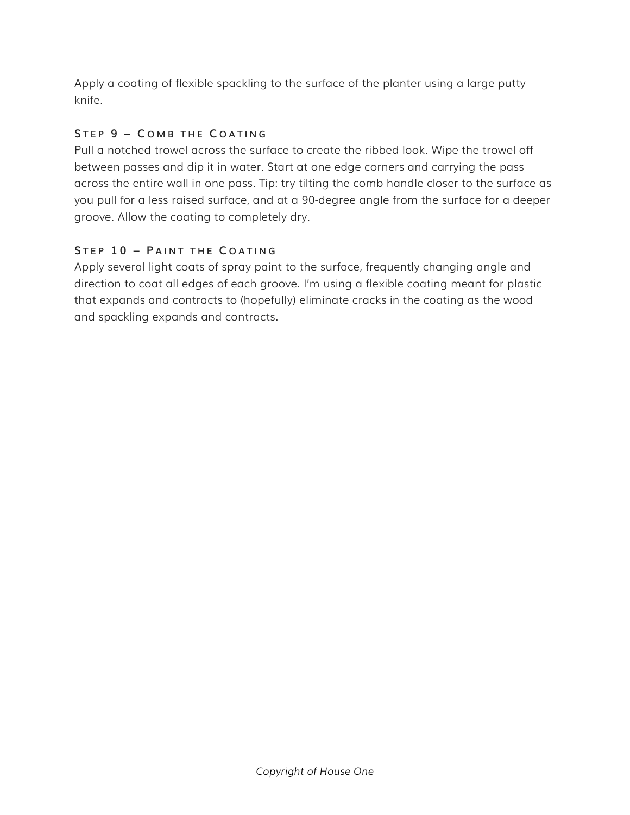Apply a coating of flexible spackling to the surface of the planter using a large putty knife.

## **S TEP 9 – C OMB THE C OATING**

Pull a notched trowel across the surface to create the ribbed look. Wipe the trowel off between passes and dip it in water. Start at one edge corners and carrying the pass across the entire wall in one pass. Tip: try tilting the comb handle closer to the surface as you pull for a less raised surface, and at a 90-degree angle from the surface for a deeper groove. Allow the coating to completely dry.

# **S TEP 1 0 – P AINT THE C OATING**

Apply several light coats of spray paint to the surface, frequently changing angle and direction to coat all edges of each groove. I'm using a flexible coating meant for plastic that expands and contracts to (hopefully) eliminate cracks in the coating as the wood and spackling expands and contracts.